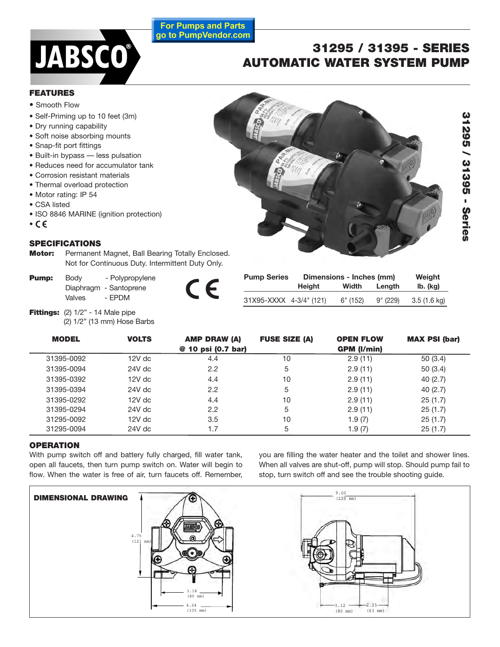**For Pumps and Parts** go to PumpVendor.com



• Self-Priming up to 10 feet (3m)

• Built-in bypass — less pulsation • Reduces need for accumulator tank • Corrosion resistant materials • Thermal overload protection

• Dry running capability • Soft noise absorbing mounts

• Snap-fit port fittings

• Motor rating: IP 54

• CSA listed

•

# **31295 / 31395 - SERIES AUTOMATIC WATER SYSTEM PUMP**



# **SPECIFICATIONS**

**FEATURES •** Smooth Flow

- **Motor:** Permanent Magnet, Ball Bearing Totally Enclosed. Not for Continuous Duty. Intermittent Duty Only.
- **Pump:** Body Polypropylene Diaphragm - Santoprene Valves - EPDM

• ISO 8846 MARINE (ignition protection)

- 
- CE
- (2) 1/2" (13 mm) Hose Barbs **Fittings:** (2) 1/2" - 14 Male pipe

| <b>Pump Series</b>      | Dimensions - Inches (mm) |          |          | Weight                |  |
|-------------------------|--------------------------|----------|----------|-----------------------|--|
|                         | Height                   | Width    | Length   | $Ib.$ ( $kq$ )        |  |
| 31X95-XXXX 4-3/4" (121) |                          | 6" (152) | 9" (229) | $3.5(1.6 \text{ kg})$ |  |

| <b>MODEL</b> | <b>VOLTS</b> | <b>AMP DRAW (A)</b><br>@ 10 psi (0.7 bar) | <b>FUSE SIZE (A)</b> | <b>OPEN FLOW</b><br><b>GPM (I/min)</b> | <b>MAX PSI (bar)</b> |
|--------------|--------------|-------------------------------------------|----------------------|----------------------------------------|----------------------|
| 31395-0092   | $12V$ dc     | 4.4                                       | 10                   | 2.9(11)                                | 50(3.4)              |
| 31395-0094   | $24V$ dc     | 2.2                                       | 5                    | 2.9(11)                                | 50(3.4)              |
| 31395-0392   | $12V$ dc     | 4.4                                       | 10                   | 2.9(11)                                | 40(2.7)              |
| 31395-0394   | $24V$ dc     | 2.2                                       | 5                    | 2.9(11)                                | 40(2.7)              |
| 31395-0292   | $12V$ dc     | 4.4                                       | 10                   | 2.9(11)                                | 25(1.7)              |
| 31395-0294   | $24V$ dc     | 2.2                                       | 5                    | 2.9(11)                                | 25(1.7)              |
| 31295-0092   | $12V$ dc     | 3.5                                       | 10                   | 1.9(7)                                 | 25(1.7)              |
| 31295-0094   | 24V dc       | 1.7                                       | 5                    | 1.9(7)                                 | 25(1.7)              |

# **OPERATION**

With pump switch off and battery fully charged, fill water tank, open all faucets, then turn pump switch on. Water will begin to flow. When the water is free of air, turn faucets off. Remember,

you are filling the water heater and the toilet and shower lines. When all valves are shut-off, pump will stop. Should pump fail to stop, turn switch off and see the trouble shooting guide.

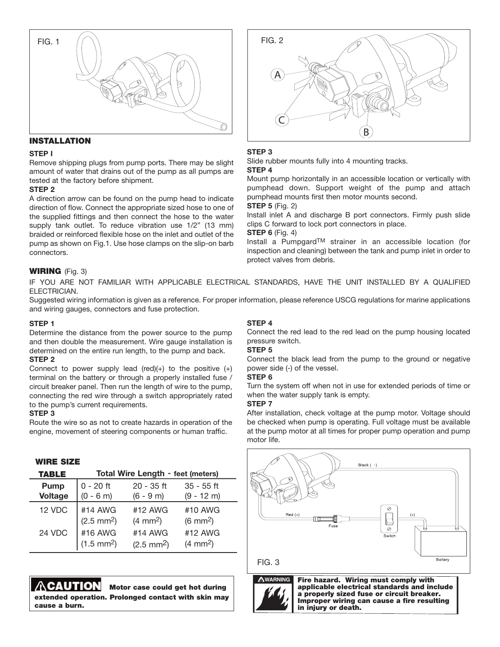

# **INSTALLATION**

#### **STEP I**

Remove shipping plugs from pump ports. There may be slight amount of water that drains out of the pump as all pumps are tested at the factory before shipment.

#### **STEP 2**

A direction arrow can be found on the pump head to indicate direction of flow. Connect the appropriate sized hose to one of the supplied fittings and then connect the hose to the water supply tank outlet. To reduce vibration use 1/2" (13 mm) braided or reinforced flexible hose on the inlet and outlet of the pump as shown on Fig.1. Use hose clamps on the slip-on barb connectors.



#### **STEP 3**

Slide rubber mounts fully into 4 mounting tracks.

#### **STEP 4**

Mount pump horizontally in an accessible location or vertically with pumphead down. Support weight of the pump and attach pumphead mounts first then motor mounts second.

**STEP 5** (Fig. 2)

Install inlet A and discharge B port connectors. Firmly push slide clips C forward to lock port connectors in place.

# **STEP 6** (Fig. 4)

Install a PumpgardTM strainer in an accessible location (for inspection and cleaning) between the tank and pump inlet in order to protect valves from debris.

### **WIRING** (Fig. 3)

IF YOU ARE NOT FAMILIAR WITH APPLICABLE ELECTRICAL STANDARDS, HAVE THE UNIT INSTALLED BY A QUALIFIED ELECTRICIAN.

Suggested wiring information is given as a reference. For proper information, please reference USCG regulations for marine applications and wiring gauges, connectors and fuse protection.

#### **STEP 1**

Determine the distance from the power source to the pump and then double the measurement. Wire gauge installation is determined on the entire run length, to the pump and back. **STEP 2**

Connect to power supply lead (red) $(+)$  to the positive  $(+)$ terminal on the battery or through a properly installed fuse / circuit breaker panel. Then run the length of wire to the pump, connecting the red wire through a switch appropriately rated to the pump's current requirements.

#### **STEP 3**

Route the wire so as not to create hazards in operation of the engine, movement of steering components or human traffic.

# **WIRE SIZE**

| TABLE                  | Total Wire Length - feet (meters)          |                                          |                                          |  |
|------------------------|--------------------------------------------|------------------------------------------|------------------------------------------|--|
| Pump<br><b>Voltage</b> | $0 - 20$ ft<br>$(0 - 6 m)$                 | 20 - 35 ft<br>$(6 - 9 m)$                | $35 - 55$ ft<br>$(9 - 12 m)$             |  |
| 12 VDC<br>24 VDC       | #14 AWG<br>$(2.5 \text{ mm}^2)$<br>#16 AWG | #12 AWG<br>$(4 \text{ mm}^2)$<br>#14 AWG | #10 AWG<br>$(6 \text{ mm}^2)$<br>#12 AWG |  |
|                        | $(1.5 \text{ mm}^2)$                       | $(2.5 \text{ mm}^2)$                     | $(4 \, \text{mm}^2)$                     |  |

**Motor case could get hot during extended operation. Prolonged contact with skin may cause a burn.**

# **STEP 4**

Connect the red lead to the red lead on the pump housing located pressure switch.

### **STEP 5**

Connect the black lead from the pump to the ground or negative power side (-) of the vessel.

#### **STEP 6**

Turn the system off when not in use for extended periods of time or when the water supply tank is empty.

#### **STEP 7**

After installation, check voltage at the pump motor. Voltage should be checked when pump is operating. Full voltage must be available at the pump motor at all times for proper pump operation and pump motor life.



#### FIG. 3



**Fire hazard. Wiring must comply with applicable electrical standards and include a properly sized fuse or circuit breaker. Improper wiring can cause a fire resulting in injury or death.**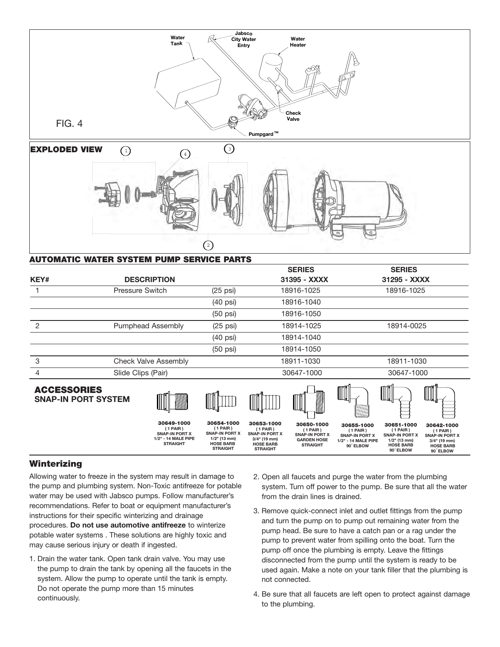

# **AUTOMATIC WATER SYSTEM PUMP SERVICE PARTS**

|      |                             |                    | <b>SERIES</b> | <b>SERIES</b> |
|------|-----------------------------|--------------------|---------------|---------------|
| KEY# | <b>DESCRIPTION</b>          |                    | 31395 - XXXX  | 31295 - XXXX  |
|      | Pressure Switch             | $(25 \text{ psi})$ | 18916-1025    | 18916-1025    |
|      |                             | $(40 \text{ psi})$ | 18916-1040    |               |
|      |                             | $(50 \text{ psi})$ | 18916-1050    |               |
| 2    | Pumphead Assembly           | $(25 \text{ psi})$ | 18914-1025    | 18914-0025    |
|      |                             | $(40 \text{ psi})$ | 18914-1040    |               |
|      |                             | $(50 \text{ psi})$ | 18914-1050    |               |
| 3    | <b>Check Valve Assembly</b> |                    | 18911-1030    | 18911-1030    |
| 4    | Slide Clips (Pair)          |                    | 30647-1000    | 30647-1000    |
|      |                             |                    |               |               |

# **ACCESSORIES SNAP-IN PORT SYSTEM**





**PAIR ) SNAP-IN PORT X 1/2" (13 mm) HOSE BARB STRAIGHT**

I







**30653-1000 PAIR ) SNAP-IN PORT X 3/4" (19 mm) HOSE BARB STRAIGHT 30650-1000 PAIR ) SNAP-IN PORT X GARDEN HOSE** 

I

**STRAIGHT**



IIII



**30642-1000 PAIR ) SNAP-IN PORT X 3/4" (19 mm) HOSE BARB 90 ELBOW**

# **Winterizing**

Allowing water to freeze in the system may result in damage to the pump and plumbing system. Non-Toxic antifreeze for potable water may be used with Jabsco pumps. Follow manufacturer's recommendations. Refer to boat or equipment manufacturer's instructions for their specific winterizing and drainage procedures. **Do not use automotive antifreeze** to winterize potable water systems . These solutions are highly toxic and may cause serious injury or death if ingested.

- 1. Drain the water tank. Open tank drain valve. You may use the pump to drain the tank by opening all the faucets in the system. Allow the pump to operate until the tank is empty. Do not operate the pump more than 15 minutes continuously.
- 2. Open all faucets and purge the water from the plumbing system. Turn off power to the pump. Be sure that all the water from the drain lines is drained.
- 3. Remove quick-connect inlet and outlet fittings from the pump and turn the pump on to pump out remaining water from the pump head. Be sure to have a catch pan or a rag under the pump to prevent water from spilling onto the boat. Turn the pump off once the plumbing is empty. Leave the fittings disconnected from the pump until the system is ready to be used again. Make a note on your tank filler that the plumbing is not connected.
- 4. Be sure that all faucets are left open to protect against damage to the plumbing.